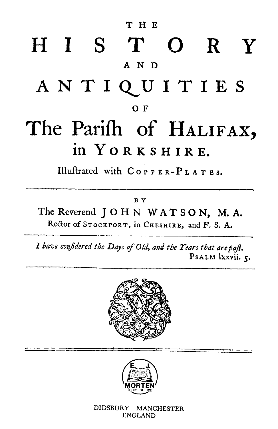T H E HIST R Y A N D ANTIQUITIES  $O F$ The Parish of HALIFAX,

# in YORKSHIRE.

Illustrated with  $C$  or  $P$  ER- $P$  LATES.

### B Y

## The Reverend JOHN WATSON, M.A. Rector of STOCKPORT, in CHESHIRE, and F. S. A.

I have confidered the Days of Old, and the Years that are paft. PSALM lxxvii. 5.





### DIDSBURY MANCHESTER ENGLAND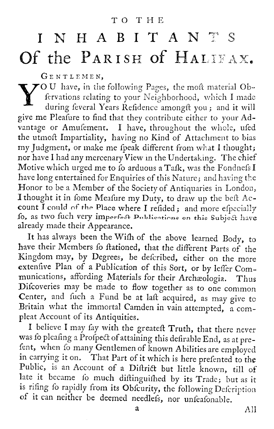## TO THE

# INHABITANTS Of the PARISH of HALIFAX.

GENTLEMEN,

VOU have, in the following Pages, the moft material Ob-<br>fervations relating to your Neighborhood, which I made during feveral Years Refidence amongft you; and it will give me Pleafure to find that they contribute either to your Advantage or Amufement. I have, throughout the whole, ufed the utmoft Impartiality, having no Kind of Attachment to bias my Judgment, or make me fpeak different from what I thought; nor have I had any mercenary View in the Undertaking. The chief Motive which urged me to fo arduous a Tafk, was the Fondnefs I have long entertained for Enquiries of this Nature; and having the Honor to be a Member of the Society of Antiquaries in London, I thought it in fome Meafure my Duty, to draw up the beft Account I could of the Place where I refided; and more efpecially fo, as two fuch very imperfect Publications on this Subject have already made their Appearance. It has always been the Wifh of the above learned Body, to have their Members fo ftationed, that the different Parts of the Kingdom may, by Degrees, be defcribed, either on the more extenfive Plan of a Publication of this Sort, or by leffer Communications, affording Materials for their Archaeologia. Thus Difcoveries may be made to flow together as to one common Center, and fuch a Fund be at laft acquired, as may give to Britain what the immortal Camden in vain attempted, a compleat Account of its Antiquities. I believe I may fay with the greateft Truth, that there never was fo pleafing a Profpect of attaining this defirable End, as at prefent, when fo many Gentlemen of known Abilities are employed in carrying it on. That Part of it which is here prefented to the Public, is an Account of a Diftrict but little known, till of late it became fo much diftinguished by its Trade; but as it is rifing fo rapidly from its Obfcurity, the following Defeription of it can neither be deemed needlefs, nor unfeafonable.

 $A$ ll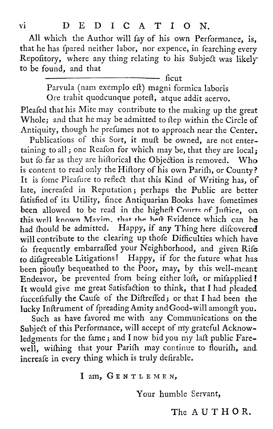#### DEDICATION. **VI**

All which the Author will fay of his own Performance, is, that he has fpared neither labor, nor expence, in fearching every Repofitory, where any thing relating to his Subject was likely to be found, and that

ficut

Parvula (nam exemplo eft) magni formica laboris Ore trahit quodcunque poteft, atque addit acervo.

Pleafed that his Mite may contribute to the making up the great Whole; and that he may be admitted to ftep within the Circle of Antiquity, though he prefumes not to approach near the Center. Publications of this Sort, it muft be owned, are not entertaining to all; one Reafon for which may be, that they are local; but fo far as they are hiftorical the Objection is removed. Who is content to read only the Hiftory of his own Parifh, or County? It is fome Pleafure to reflect that this Kind of Writing has, of late, increafed in Reputation; perhaps the Public are better fatisfied of its Utility, fince Antiquarian Books have fometimes been allowed to be read in the higheft Courts of Juftice, on this well known Maxim, that the heft Evidence which can be had fhould be admitted. Happy, if any Thing here difcovered will contribute to the clearing up thofe Difficulties which have fo frequently embarraffed your Neighborhood, and given Rife to difagreeable Litigations! Happy, if for the future what has been pioufly bequeathed to the Poor, may, by this well-meant Endeavor, be prevented from being either loft, or mifapplied! It would give me great Satisfaction to think, that I had pleaded fuccefsfully the Caufe of the Diftreffed; or that I had been the lucky Inftrument of fpreading Amity and Good-will amongft you. Such as have favored me with any Communications on the Subject of this Performance, will accept of my grateful Acknowledgments for the fame; and I now bid you my laft public Farewell, withing that your Parith may continue to flourith, and increafe in every thing which is truly defirable.

## I am, GENTLEMEN,

## Your humble Servant,

## The AUTHOR.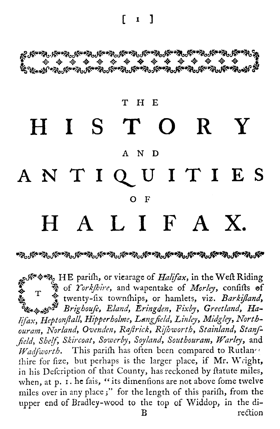$\lceil$   $\lceil$   $\lceil$   $\rceil$ 

**؉ڴڸ؇ڋ؞؊ڸ؞؆ڂ؊ؖ؊؊؊؊؊ؖ؊ڿ؞؊ۭؖ** 

#### T H E **HISTORY** A N D *ANTIQ TI ES* O F HALIFAX.

**HE parish, or vicarage of** *Halifax, in the West Riding T*  $\frac{1}{2}$  of *Yorkshire*, and wapentake of *Morley*, confitts of<br>  $\frac{1}{2}$  **twenty-fix townships,** or hamlets, viz. *Barkifland*, *Brighouse, Eland, Eringden, Fixby, Greetland, Ha*lifax, Heptonftall, Hipperholme, Langfield, Linley, Midgley, Northouram, Norland, Ovenden, Raftrick, Riftworth, Stainland, Stanf-*Standsfield, Shelf, Skircoat, Soverby, Soyland, Southouram, Notels, Alglyorth.* This parith has often been compared to Ruthar, the Median Marigas, Heptonflall, Hipperbolme, Langfield, Linley, Midgley, Northouram, Norland, *Wadfworth*. This parifh has often been compared to Rutlan<sup>ce</sup> thire for fize, but perhaps is the larger place, if Mr. Wright, in his Defcription of that County, has reckoned by ftatute miles, when, at p. 1. he fais, "its dimenfions are not above fome twelve miles over in any place;" for the length of this parifh, from the upper end of Bradley-wood to the top of Widdop, in the di-B rection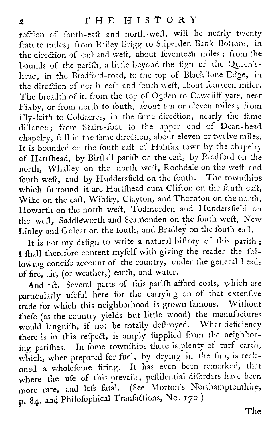rection of fouth-eaft and north-weft, will be nearly twenty ftatute miles; from Bailey Brigg to Stiperden Bank Bottom, in the direction of eaft and weft, about feventeen miles; from the bounds of the parifh, a little beyond the fign of the Queen'shead, in the Bradford-road, to the top of Blackstone Edge, in the direction of north eaft and fouth weft, about fourteen miles. The breadth of it, from the top of Ogden to Cawcliff-yate, near Fixby, or from north to fouth, about ten or eleven miles; from Fly-laith to Coldacres, in the fame direction, nearly the fame diftance; from Stairs-foot to the upper end of Dean-head chapelry, ftill in the fame direction, about eleven or twelve miles. It is bounded on the fouth eaft of Halifax town by the chapelry of Hartshead, by Birstall parish on the east, by Bradford on the north, Whalley on the north weft, Rochdale on the weft and fouth weft, and by Huddersfield on the fouth. The townships which furround it are Hartshead cum Clifton on the fouth eaft, Wike on the eaft, Wibfey, Clayton, and Thornton on the north, Howarth on the north weft, Todmorden and Hundersfield on the weft, Saddleworth and Scamonden on the fouth weft, New Linley and Golcar on the fouth, and Bradley on the fouth eaft.

It is not my defign to write a natural hiftory of this parifh; I fhall therefore content myfelf with giving the reader the following concife account of the country, under the general heads of fire, air, (or weather,) earth, and water.

And 1ft. Several parts of this parifh afford coals, which are particularly ufeful here for the carrying on of that extenfive trade for which this neighborhood is grown famous. Without thefe (as the country yields but little wood) the manufactures would languish, if not be totally deftroyed. What deficiency there is in this refpect, is amply fupplied from the neighboring parishes. In fome townships there is plenty of turf earth, which, when prepared for fuel, by drying in the fun, is reckoned a wholefome firing. It has even been remarked, that where the ufe of this prevails, peffilential diforders have been more rare, and lefs fatal. (See Morton's Northamptonshire, p. 84. and Philosophical Tranfactions, No. 170.)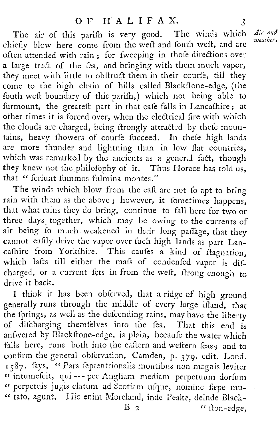The air of this parifh is very good. The winds which chiefly blow here come from the weft and fouth weft, and are often attended with rain; for fweeping in thole directions over a large tract of the fea, and bringing with them much vapor, they meet with little to obftruct them in their courfe, till they come to the high chain of hills called Blackftone-edge, (the fouth weft boundary of this parifh,) which not being able to furmount, the greateft part in that cafe falls in Lancafhire; at other times it is forced over, when the electrical fire with which the clouds are charged, being ftrongly attracted by thefe mountains, heavy fhowers of courfe fucceed. In thefe high lands are more thunder and lightning than in low flat countries, which was remarked by the ancients as a general fact, though they knew not the philofophy of it. Thus Horace has told us, that " feriunt fummos fulmina montes."

The winds which blow from the eaft are not fo apt to bring rain with them as the above; however, it fometimes happens, that what rains they do bring, continue to fall here for two or three days together, which may be owing to the currents of air being fo much weakened in their long paffage, that they cannot eafily drive the vapor over fuch high lands as part Lancashire from Yorkshire. This causes a kind of  $\hat{t}$  agnation, which lafts till either the mafs of condenfed vapor is difcharged, or a current fets in from the weft, ftrong enough to drive it back.

I think it has been obferved, that a ridge of high ground generally runs through the middle of every large ifland, that the fprings, as well as the defcending rains, may have the liberty of discharging themselves into the fea. That this end is anfwered by Blackftone-edge, is plain, becaufe the water which falls here, runs both into the eaftern and weftern feas; and to confirm the general obfervation, Camden, p. 379. edit. Lond. 1587. fays, "Pars feptentrionalis montibus non magnis leviter " intumefcit, qui --- per Angliam mediam perpetuum dorfum " perpetuis jugis elatum ad Scotiam usque, nomine fæpe mu-" tato, agunt. Hic enim Moreland, inde Peake, deinde Black- $\mathbf{B}$  2 "  $\mathbf{f}$  flon-edge,

Air and weather.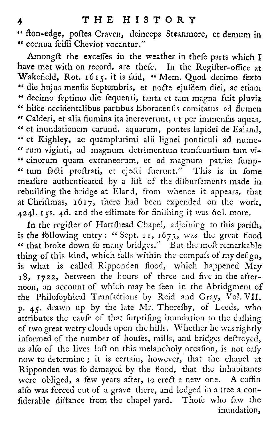" fton-edge, poftea Craven, deinceps Steanmore, et demum in  $"$  cornua  $\tilde{f}$ ciffi Cheviot vocantur."

Amongft the exceffes in the weather in thefe parts which  $I$ have met with on record, are thefe. In the Regifter-office at Wakefield, Rot. 1615. it is faid, "Mem. Quod decimo fexto die hujus menfis Septembris, et nocte ejusdem diei, ac etiam decimo feptimo die fequenti, tanta et tam magna fuit pluvia " hifce occidentalibus partibus Eboracenfis comitatus ad flumen " Calderi, et alia flumina ita increverunt, ut per immenfas aquas, et inundationem earund. aquarum, pontes lapidei de Ealand " et Kighley, ac quamplurimi alii lignei ponticuli ad numerum viginti, ad magnum detrimenturn transeuntium tam vi- " cinorum quam extraneorum, et ad magnum of the Kighley, ac quamplurimi alli lignei ponticuli ad<br>
" rum viginti, ad magnum detrimentum tranfeuntium t<br>
" cinorum quam extraneorum, et ad magnum patriæ<br>
" tum facti proftrati, et ejecti fuerunt." This is in<br>
meafure meafure authenticated by a lift of the difbursements made in rebuilding the bridge at Eland, from whence it appears, that at Chriftmas,  $1617$ , there had been expended on the work, 424l. 15s. 4d. and the eftimate for finifhing it was 60l. more.

In the regifter of Hartshead Chapel, adjoining to this parish, is the following entry : " Sept. 11 **, 1673, was the great flood " that broke down fo many bridges." But the most remarkable** thing of this kind, which falls within the compafs of my defign, **is what is called Ripponden flood, which happened May 18, 1722, between the hours of three and five in the after**noon, an account of which may be feen in the Abridgment of **the Philosophical Transactions by Reid and Gray, Vol . VII. p. <sup>45</sup> . drawn up by the late Mr . Thoresby, of Leeds, who** attributes the caufe of that furprifing inundation to the dafhing **of two great watry clouds upon the hills. Whether he was rightly** informed of the number of houfes, mills, and bridges deftroyed, as alfo of the lives loft on this melancholy occasion, is not eafy **now to determine ; it is certain, however, that the chapel at Ripponden was fo damaged by the flood, that the inhabitants were obliged, a few years after, to erect a new one . A coffin** alfo was forced out of a grave there, and lodged in a tree a confiderable diftance from the chapel yard. Those who faw the **inundation,**